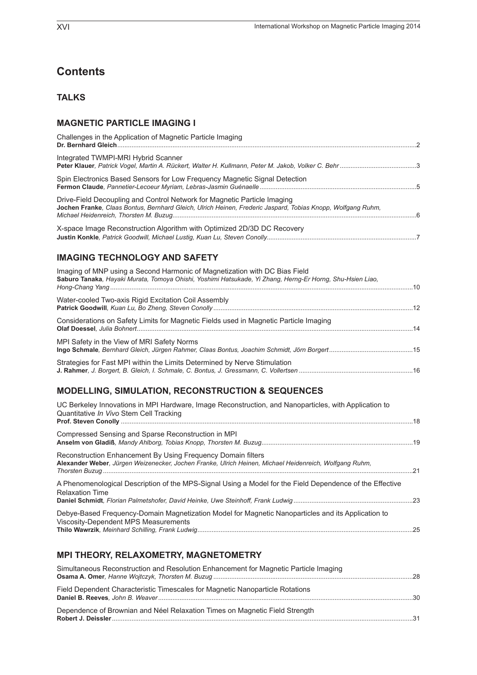## **Contents**

#### **Talks**

#### **Magnetic Particle Imaging I**

| Challenges in the Application of Magnetic Particle Imaging                                                                                                                              |  |
|-----------------------------------------------------------------------------------------------------------------------------------------------------------------------------------------|--|
| Integrated TWMPI-MRI Hybrid Scanner                                                                                                                                                     |  |
| Spin Electronics Based Sensors for Low Frequency Magnetic Signal Detection                                                                                                              |  |
| Drive-Field Decoupling and Control Network for Magnetic Particle Imaging<br>Jochen Franke, Claas Bontus, Bernhard Gleich, Ulrich Heinen, Frederic Jaspard, Tobias Knopp, Wolfgang Ruhm, |  |
| X-space Image Reconstruction Algorithm with Optimized 2D/3D DC Recovery                                                                                                                 |  |

#### **Imaging Technology and Safety**

| Imaging of MNP using a Second Harmonic of Magnetization with DC Bias Field<br>Saburo Tanaka, Hayaki Murata, Tomoya Ohishi, Yoshimi Hatsukade, Yi Zhang, Herng-Er Horng, Shu-Hsien Liao, |  |
|-----------------------------------------------------------------------------------------------------------------------------------------------------------------------------------------|--|
| Water-cooled Two-axis Rigid Excitation Coil Assembly                                                                                                                                    |  |
| Considerations on Safety Limits for Magnetic Fields used in Magnetic Particle Imaging                                                                                                   |  |
| MPI Safety in the View of MRI Safety Norms                                                                                                                                              |  |
| Strategies for Fast MPI within the Limits Determined by Nerve Stimulation                                                                                                               |  |

### **Modelling, Simulation, Reconstruction & SequenCes**

| UC Berkeley Innovations in MPI Hardware, Image Reconstruction, and Nanoparticles, with Application to<br>Quantitative In Vivo Stem Cell Tracking                       |  |
|------------------------------------------------------------------------------------------------------------------------------------------------------------------------|--|
| Compressed Sensing and Sparse Reconstruction in MPI                                                                                                                    |  |
| Reconstruction Enhancement By Using Frequency Domain filters<br>Alexander Weber, Jürgen Weizenecker, Jochen Franke, Ulrich Heinen, Michael Heidenreich, Wolfgang Ruhm, |  |
| A Phenomenological Description of the MPS-Signal Using a Model for the Field Dependence of the Effective<br><b>Relaxation Time</b>                                     |  |
| Debye-Based Frequency-Domain Magnetization Model for Magnetic Nanoparticles and its Application to<br>Viscosity-Dependent MPS Measurements                             |  |

#### **MPI Theory, Relaxometry, Magnetometry**

| Simultaneous Reconstruction and Resolution Enhancement for Magnetic Particle Imaging |  |
|--------------------------------------------------------------------------------------|--|
| Field Dependent Characteristic Timescales for Magnetic Nanoparticle Rotations        |  |
| Dependence of Brownian and Néel Relaxation Times on Magnetic Field Strength          |  |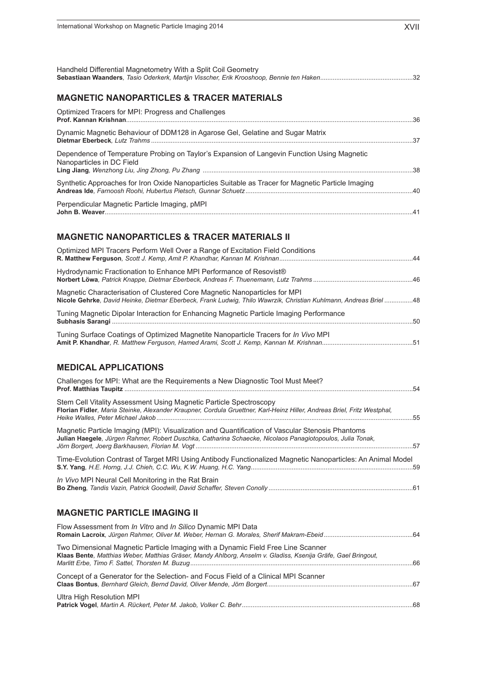| Handheld Differential Magnetometry With a Split Coil Geometry                                                                                                                                                |
|--------------------------------------------------------------------------------------------------------------------------------------------------------------------------------------------------------------|
| <b>MAGNETIC NANOPARTICLES &amp; TRACER MATERIALS</b>                                                                                                                                                         |
| Optimized Tracers for MPI: Progress and Challenges                                                                                                                                                           |
| Dynamic Magnetic Behaviour of DDM128 in Agarose Gel, Gelatine and Sugar Matrix                                                                                                                               |
| Dependence of Temperature Probing on Taylor's Expansion of Langevin Function Using Magnetic<br>Nanoparticles in DC Field                                                                                     |
| Synthetic Approaches for Iron Oxide Nanoparticles Suitable as Tracer for Magnetic Particle Imaging                                                                                                           |
| Perpendicular Magnetic Particle Imaging, pMPI                                                                                                                                                                |
| <b>MAGNETIC NANOPARTICLES &amp; TRACER MATERIALS II</b><br>Optimized MPI Tracers Perform Well Over a Range of Excitation Field Conditions                                                                    |
|                                                                                                                                                                                                              |
| Hydrodynamic Fractionation to Enhance MPI Performance of Resovist®                                                                                                                                           |
| Magnetic Characterisation of Clustered Core Magnetic Nanoparticles for MPI<br>Nicole Gehrke, David Heinke, Dietmar Eberbeck, Frank Ludwig, Thilo Wawrzik, Christian Kuhlmann, Andreas Briel 48               |
| Tuning Magnetic Dipolar Interaction for Enhancing Magnetic Particle Imaging Performance                                                                                                                      |
| Tuning Surface Coatings of Optimized Magnetite Nanoparticle Tracers for In Vivo MPI                                                                                                                          |
| <b>MEDICAL APPLICATIONS</b>                                                                                                                                                                                  |
| Challenges for MPI: What are the Requirements a New Diagnostic Tool Must Meet?                                                                                                                               |
| Stem Cell Vitality Assessment Using Magnetic Particle Spectroscopy<br>Florian Fidler, Maria Steinke, Alexander Kraupner, Cordula Gruettner, Karl-Heinz Hiller, Andreas Briel, Fritz Westphal,<br>55          |
| Magnetic Particle Imaging (MPI): Visualization and Quantification of Vascular Stenosis Phantoms<br>Julian Haegele, Jürgen Rahmer, Robert Duschka, Catharina Schaecke, Nicolaos Panagiotopoulos, Julia Tonak, |
| Time-Evolution Contrast of Target MRI Using Antibody Functionalized Magnetic Nanoparticles: An Animal Model                                                                                                  |
| In Vivo MPI Neural Cell Monitoring in the Rat Brain                                                                                                                                                          |
| <b>MAGNETIC PARTICLE IMAGING II</b>                                                                                                                                                                          |
| Flow Assessment from In Vitro and In Silico Dynamic MPI Data                                                                                                                                                 |
| Two Dimensional Magnetic Particle Imaging with a Dynamic Field Free Line Scanner<br>Klaas Bente, Matthias Weber, Matthias Gräser, Mandy Ahlborg, Anselm v. Gladiss, Ksenija Gräfe, Gael Bringout,            |
| Concept of a Generator for the Selection- and Focus Field of a Clinical MPI Scanner                                                                                                                          |
| Ultra High Resolution MPI                                                                                                                                                                                    |
|                                                                                                                                                                                                              |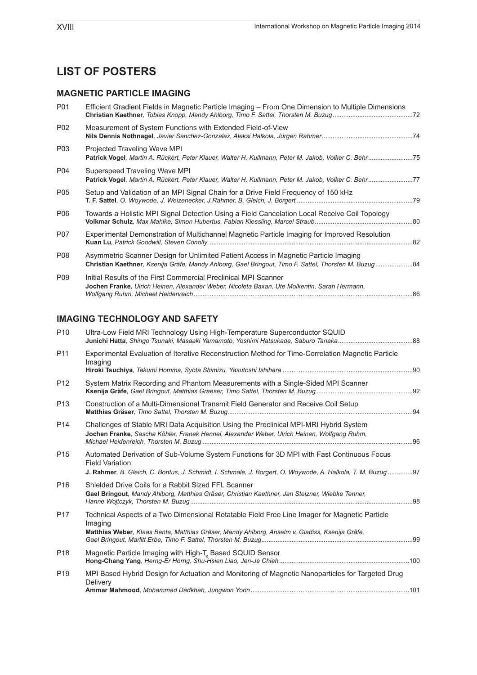# **List of POSTERs**

## **Magnetic Particle Imaging**

| P01             | Efficient Gradient Fields in Magnetic Particle Imaging – From One Dimension to Multiple Dimensions                                                                                          |  |
|-----------------|---------------------------------------------------------------------------------------------------------------------------------------------------------------------------------------------|--|
| P02             | Measurement of System Functions with Extended Field-of-View                                                                                                                                 |  |
| P03             | Projected Traveling Wave MPI<br>Patrick Vogel, Martin A. Rückert, Peter Klauer, Walter H. Kullmann, Peter M. Jakob, Volker C. Behr75                                                        |  |
| P04             | Superspeed Traveling Wave MPI<br>Patrick Vogel, Martin A. Rückert, Peter Klauer, Walter H. Kullmann, Peter M. Jakob, Volker C. Behr77                                                       |  |
| P05             | Setup and Validation of an MPI Signal Chain for a Drive Field Frequency of 150 kHz                                                                                                          |  |
| P06             | Towards a Holistic MPI Signal Detection Using a Field Cancelation Local Receive Coil Topology                                                                                               |  |
| P07             | Experimental Demonstration of Multichannel Magnetic Particle Imaging for Improved Resolution                                                                                                |  |
| P08             | Asymmetric Scanner Design for Unlimited Patient Access in Magnetic Particle Imaging<br>Christian Kaethner, Ksenija Gräfe, Mandy Ahlborg, Gael Bringout, Timo F. Sattel, Thorsten M. Buzug84 |  |
| P <sub>09</sub> | Initial Results of the First Commercial Preclinical MPI Scanner<br>Jochen Franke, Ulrich Heinen, Alexander Weber, Nicoleta Baxan, Ute Molkentin, Sarah Hermann,                             |  |

## **Imaging Technology and Safety**

| P <sub>10</sub> | Ultra-Low Field MRI Technology Using High-Temperature Superconductor SQUID                                                                                                                                                        |    |
|-----------------|-----------------------------------------------------------------------------------------------------------------------------------------------------------------------------------------------------------------------------------|----|
| P <sub>11</sub> | Experimental Evaluation of Iterative Reconstruction Method for Time-Correlation Magnetic Particle<br>Imaging                                                                                                                      |    |
| P <sub>12</sub> | System Matrix Recording and Phantom Measurements with a Single-Sided MPI Scanner                                                                                                                                                  |    |
| P <sub>13</sub> | Construction of a Multi-Dimensional Transmit Field Generator and Receive Coil Setup                                                                                                                                               |    |
| P <sub>14</sub> | Challenges of Stable MRI Data Acquisition Using the Preclinical MPI-MRI Hybrid System<br>Jochen Franke, Sascha Köhler, Franek Hennel, Alexander Weber, Ulrich Heinen, Wolfgang Ruhm,                                              | 96 |
| P <sub>15</sub> | Automated Derivation of Sub-Volume System Functions for 3D MPI with Fast Continuous Focus<br><b>Field Variation</b><br>J. Rahmer, B. Gleich, C. Bontus, J. Schmidt, I. Schmale, J. Borgert, O. Woywode, A. Halkola, T. M. Buzug97 |    |
| P <sub>16</sub> | Shielded Drive Coils for a Rabbit Sized FFL Scanner<br>Gael Bringout, Mandy Ahlborg, Matthias Gräser, Christian Kaethner, Jan Stelzner, Wiebke Tenner,                                                                            | 98 |
| P <sub>17</sub> | Technical Aspects of a Two Dimensional Rotatable Field Free Line Imager for Magnetic Particle<br>Imaging<br>Matthias Weber, Klaas Bente, Matthias Gräser, Mandy Ahlborg, Anselm v. Gladiss, Ksenija Gräfe,                        |    |
| P <sub>18</sub> | Magnetic Particle Imaging with High-T, Based SQUID Sensor                                                                                                                                                                         |    |
| P <sub>19</sub> | MPI Based Hybrid Design for Actuation and Monitoring of Magnetic Nanoparticles for Targeted Drug<br>Delivery                                                                                                                      |    |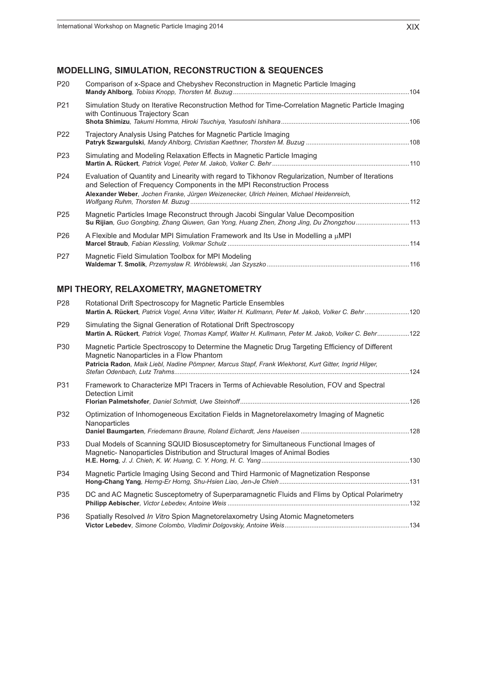## **Modelling, Simulation, Reconstruction & Sequences**

| P <sub>20</sub> | Comparison of x-Space and Chebyshev Reconstruction in Magnetic Particle Imaging                                                                                                                                                                                         |  |
|-----------------|-------------------------------------------------------------------------------------------------------------------------------------------------------------------------------------------------------------------------------------------------------------------------|--|
| P <sub>21</sub> | Simulation Study on Iterative Reconstruction Method for Time-Correlation Magnetic Particle Imaging<br>with Continuous Trajectory Scan                                                                                                                                   |  |
| P <sub>22</sub> | Trajectory Analysis Using Patches for Magnetic Particle Imaging                                                                                                                                                                                                         |  |
| P <sub>23</sub> | Simulating and Modeling Relaxation Effects in Magnetic Particle Imaging                                                                                                                                                                                                 |  |
| P <sub>24</sub> | Evaluation of Quantity and Linearity with regard to Tikhonov Regularization, Number of Iterations<br>and Selection of Frequency Components in the MPI Reconstruction Process<br>Alexander Weber, Jochen Franke, Jürgen Weizenecker, Ulrich Heinen, Michael Heidenreich, |  |
| P <sub>25</sub> | Magnetic Particles Image Reconstruct through Jacobi Singular Value Decomposition<br>Su Rijian, Guo Gongbing, Zhang Qiuwen, Gan Yong, Huang Zhen, Zhong Jing, Du Zhongzhou113                                                                                            |  |
| P <sub>26</sub> | A Flexible and Modular MPI Simulation Framework and Its Use in Modelling a $\mu$ MPI                                                                                                                                                                                    |  |
| P <sub>27</sub> | Magnetic Field Simulation Toolbox for MPI Modeling                                                                                                                                                                                                                      |  |
|                 |                                                                                                                                                                                                                                                                         |  |

## **MPI Theory, Relaxometry, Magnetometry**

| P <sub>28</sub> | Rotational Drift Spectroscopy for Magnetic Particle Ensembles<br>Martin A. Rückert, Patrick Vogel, Anna Vilter, Walter H. Kullmann, Peter M. Jakob, Volker C. Behr120                                                                                 |  |
|-----------------|-------------------------------------------------------------------------------------------------------------------------------------------------------------------------------------------------------------------------------------------------------|--|
| P <sub>29</sub> | Simulating the Signal Generation of Rotational Drift Spectroscopy<br>Martin A. Rückert, Patrick Vogel, Thomas Kampf, Walter H. Kullmann, Peter M. Jakob, Volker C. Behr122                                                                            |  |
| P30             | Magnetic Particle Spectroscopy to Determine the Magnetic Drug Targeting Efficiency of Different<br>Magnetic Nanoparticles in a Flow Phantom<br>Patricia Radon, Maik Liebl, Nadine Pömpner, Marcus Stapf, Frank Wiekhorst, Kurt Gitter, Ingrid Hilger, |  |
| P31             | Framework to Characterize MPI Tracers in Terms of Achievable Resolution, FOV and Spectral<br>Detection Limit                                                                                                                                          |  |
| P32             | Optimization of Inhomogeneous Excitation Fields in Magnetorelaxometry Imaging of Magnetic<br>Nanoparticles                                                                                                                                            |  |
| P33             | Dual Models of Scanning SQUID Biosusceptometry for Simultaneous Functional Images of<br>Magnetic- Nanoparticles Distribution and Structural Images of Animal Bodies                                                                                   |  |
| P34             | Magnetic Particle Imaging Using Second and Third Harmonic of Magnetization Response                                                                                                                                                                   |  |
| P35             | DC and AC Magnetic Susceptometry of Superparamagnetic Fluids and Flims by Optical Polarimetry                                                                                                                                                         |  |
| P36             | Spatially Resolved In Vitro Spion Magnetorelaxometry Using Atomic Magnetometers                                                                                                                                                                       |  |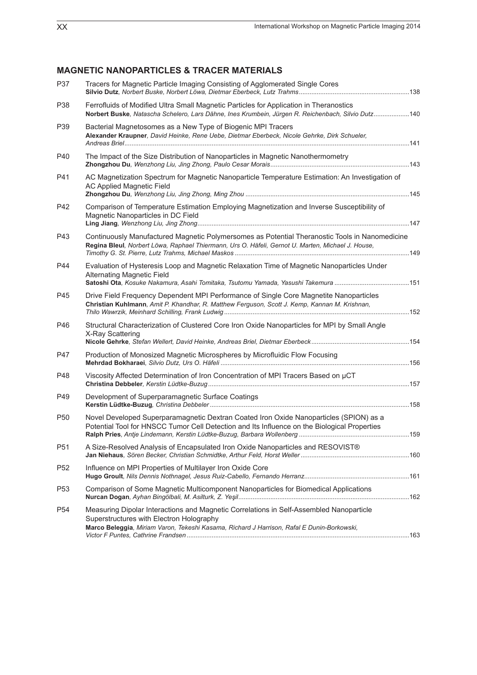## **Magnetic Nanoparticles & Tracer Materials**

| P37             | Tracers for Magnetic Particle Imaging Consisting of Agglomerated Single Cores                                                                                                                                                     |  |
|-----------------|-----------------------------------------------------------------------------------------------------------------------------------------------------------------------------------------------------------------------------------|--|
| P38             | Ferrofluids of Modified Ultra Small Magnetic Particles for Application in Theranostics<br>Norbert Buske, Natascha Schelero, Lars Dähne, Ines Krumbein, Jürgen R. Reichenbach, Silvio Dutz140                                      |  |
| P39             | Bacterial Magnetosomes as a New Type of Biogenic MPI Tracers<br>Alexander Kraupner, David Heinke, Rene Uebe, Dietmar Eberbeck, Nicole Gehrke, Dirk Schueler,                                                                      |  |
| P40             | The Impact of the Size Distribution of Nanoparticles in Magnetic Nanothermometry                                                                                                                                                  |  |
| P41             | AC Magnetization Spectrum for Magnetic Nanoparticle Temperature Estimation: An Investigation of<br>AC Applied Magnetic Field                                                                                                      |  |
| P42             | Comparison of Temperature Estimation Employing Magnetization and Inverse Susceptibility of<br>Magnetic Nanoparticles in DC Field                                                                                                  |  |
| P43             | Continuously Manufactured Magnetic Polymersomes as Potential Theranostic Tools in Nanomedicine<br>Regina Bleul, Norbert Löwa, Raphael Thiermann, Urs O. Häfeli, Gernot U. Marten, Michael J. House,                               |  |
| P44             | Evaluation of Hysteresis Loop and Magnetic Relaxation Time of Magnetic Nanoparticles Under<br><b>Alternating Magnetic Field</b>                                                                                                   |  |
| P45             | Drive Field Frequency Dependent MPI Performance of Single Core Magnetite Nanoparticles<br>Christian Kuhlmann, Amit P. Khandhar, R. Matthew Ferguson, Scott J. Kemp, Kannan M. Krishnan,                                           |  |
| P46             | Structural Characterization of Clustered Core Iron Oxide Nanoparticles for MPI by Small Angle<br>X-Ray Scattering                                                                                                                 |  |
| P47             | Production of Monosized Magnetic Microspheres by Microfluidic Flow Focusing                                                                                                                                                       |  |
| P48             | Viscosity Affected Determination of Iron Concentration of MPI Tracers Based on µCT                                                                                                                                                |  |
| P49             | Development of Superparamagnetic Surface Coatings                                                                                                                                                                                 |  |
| P <sub>50</sub> | Novel Developed Superparamagnetic Dextran Coated Iron Oxide Nanoparticles (SPION) as a<br>Potential Tool for HNSCC Tumor Cell Detection and Its Influence on the Biological Properties                                            |  |
| P51             | A Size-Resolved Analysis of Encapsulated Iron Oxide Nanoparticles and RESOVIST®                                                                                                                                                   |  |
| P <sub>52</sub> | Influence on MPI Properties of Multilayer Iron Oxide Core                                                                                                                                                                         |  |
| P <sub>53</sub> | Comparison of Some Magnetic Multicomponent Nanoparticles for Biomedical Applications                                                                                                                                              |  |
| P <sub>54</sub> | Measuring Dipolar Interactions and Magnetic Correlations in Self-Assembled Nanoparticle<br>Superstructures with Electron Holography<br>Marco Beleggia, Miriam Varon, Tekeshi Kasama, Richard J Harrison, Rafal E Dunin-Borkowski, |  |
|                 |                                                                                                                                                                                                                                   |  |